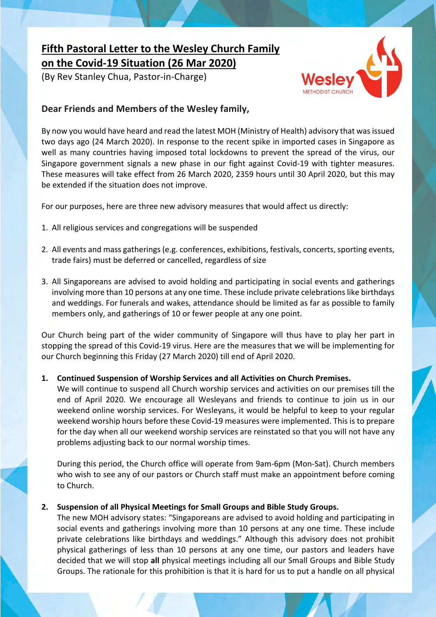# **Fifth Pastoral Letter to the Wesley Church Family on the Covid-19 Situation (26 Mar 2020)**

(By Rev Stanley Chua, Pastor-in-Charge)



## **Dear Friends and Members of the Wesley family,**

By now you would have heard and read the latest MOH (Ministry of Health) advisory that was issued two days ago (24 March 2020). In response to the recent spike in imported cases in Singapore as well as many countries having imposed total lockdowns to prevent the spread of the virus, our Singapore government signals a new phase in our fight against Covid-19 with tighter measures. These measures will take effect from 26 March 2020, 2359 hours until 30 April 2020, but this may be extended if the situation does not improve.

For our purposes, here are three new advisory measures that would affect us directly:

- 1. All religious services and congregations will be suspended
- 2. All events and mass gatherings (e.g. conferences, exhibitions, festivals, concerts, sporting events, trade fairs) must be deferred or cancelled, regardless of size
- 3. All Singaporeans are advised to avoid holding and participating in social events and gatherings involving more than 10 persons at any one time. These include private celebrations like birthdays and weddings. For funerals and wakes, attendance should be limited as far as possible to family members only, and gatherings of 10 or fewer people at any one point.

Our Church being part of the wider community of Singapore will thus have to play her part in stopping the spread of this Covid-19 virus. Here are the measures that we will be implementing for our Church beginning this Friday (27 March 2020) till end of April 2020.

### **1. Continued Suspension of Worship Services and all Activities on Church Premises.**

We will continue to suspend all Church worship services and activities on our premises till the end of April 2020. We encourage all Wesleyans and friends to continue to join us in our weekend online worship services. For Wesleyans, it would be helpful to keep to your regular weekend worship hours before these Covid-19 measures were implemented. This is to prepare for the day when all our weekend worship services are reinstated so that you will not have any problems adjusting back to our normal worship times.

During this period, the Church office will operate from 9am-6pm (Mon-Sat). Church members who wish to see any of our pastors or Church staff must make an appointment before coming to Church.

### **2. Suspension of all Physical Meetings for Small Groups and Bible Study Groups.**

The new MOH advisory states: "Singaporeans are advised to avoid holding and participating in social events and gatherings involving more than 10 persons at any one time. These include private celebrations like birthdays and weddings." Although this advisory does not prohibit physical gatherings of less than 10 persons at any one time, our pastors and leaders have decided that we will stop **all** physical meetings including all our Small Groups and Bible Study Groups. The rationale for this prohibition is that it is hard for us to put a handle on all physical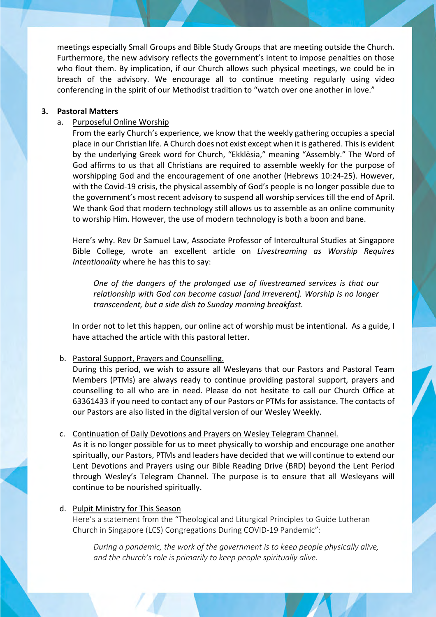meetings especially Small Groups and Bible Study Groups that are meeting outside the Church. Furthermore, the new advisory reflects the government's intent to impose penalties on those who flout them. By implication, if our Church allows such physical meetings, we could be in breach of the advisory. We encourage all to continue meeting regularly using video conferencing in the spirit of our Methodist tradition to "watch over one another in love."

#### **3. Pastoral Matters**

#### a. Purposeful Online Worship

From the early Church's experience, we know that the weekly gathering occupies a special place in our Christian life. A Church does not exist except when it is gathered. This is evident by the underlying Greek word for Church, "Ekklēsia," meaning "Assembly." The Word of God affirms to us that all Christians are required to assemble weekly for the purpose of worshipping God and the encouragement of one another (Hebrews 10:24-25). However, with the Covid-19 crisis, the physical assembly of God's people is no longer possible due to the government's most recent advisory to suspend all worship services till the end of April. We thank God that modern technology still allows us to assemble as an online community to worship Him. However, the use of modern technology is both a boon and bane.

Here's why. Rev Dr Samuel Law, Associate Professor of Intercultural Studies at Singapore Bible College, wrote an excellent article on *Livestreaming as Worship Requires Intentionality* where he has this to say:

*One of the dangers of the prolonged use of livestreamed services is that our relationship with God can become casual [and irreverent]. Worship is no longer transcendent, but a side dish to Sunday morning breakfast.*

In order not to let this happen, our online act of worship must be intentional. As a guide, I have attached the article with this pastoral letter.

#### b. Pastoral Support, Prayers and Counselling.

During this period, we wish to assure all Wesleyans that our Pastors and Pastoral Team Members (PTMs) are always ready to continue providing pastoral support, prayers and counselling to all who are in need. Please do not hesitate to call our Church Office at 63361433 if you need to contact any of our Pastors or PTMs for assistance. The contacts of our Pastors are also listed in the digital version of our Wesley Weekly.

#### c. Continuation of Daily Devotions and Prayers on Wesley Telegram Channel.

As it is no longer possible for us to meet physically to worship and encourage one another spiritually, our Pastors, PTMs and leaders have decided that we will continue to extend our Lent Devotions and Prayers using our Bible Reading Drive (BRD) beyond the Lent Period through Wesley's Telegram Channel. The purpose is to ensure that all Wesleyans will continue to be nourished spiritually.

#### d. Pulpit Ministry for This Season

Here's a statement from the "Theological and Liturgical Principles to Guide Lutheran Church in Singapore (LCS) Congregations During COVID-19 Pandemic":

*During a pandemic, the work of the government is to keep people physically alive, and the church's role is primarily to keep people spiritually alive.*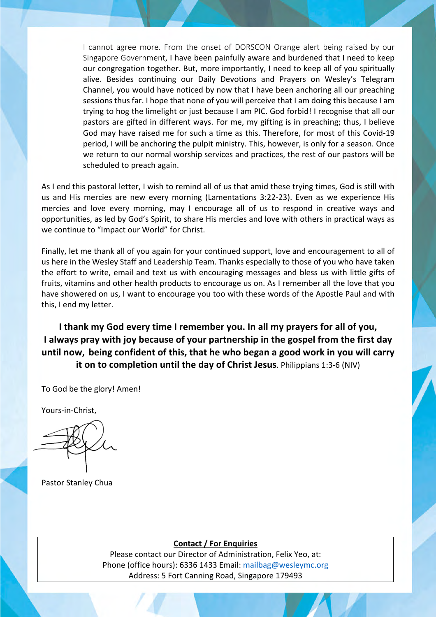I cannot agree more. From the onset of DORSCON Orange alert being raised by our Singapore Government, I have been painfully aware and burdened that I need to keep our congregation together. But, more importantly, I need to keep all of you spiritually alive. Besides continuing our Daily Devotions and Prayers on Wesley's Telegram Channel, you would have noticed by now that I have been anchoring all our preaching sessions thus far. I hope that none of you will perceive that I am doing this because I am trying to hog the limelight or just because I am PIC. God forbid! I recognise that all our pastors are gifted in different ways. For me, my gifting is in preaching; thus, I believe God may have raised me for such a time as this. Therefore, for most of this Covid-19 period, I will be anchoring the pulpit ministry. This, however, is only for a season. Once we return to our normal worship services and practices, the rest of our pastors will be scheduled to preach again.

As I end this pastoral letter, I wish to remind all of us that amid these trying times, God is still with us and His mercies are new every morning (Lamentations 3:22-23). Even as we experience His mercies and love every morning, may I encourage all of us to respond in creative ways and opportunities, as led by God's Spirit, to share His mercies and love with others in practical ways as we continue to "Impact our World" for Christ.

Finally, let me thank all of you again for your continued support, love and encouragement to all of us here in the Wesley Staff and Leadership Team. Thanks especially to those of you who have taken the effort to write, email and text us with encouraging messages and bless us with little gifts of fruits, vitamins and other health products to encourage us on. As I remember all the love that you have showered on us, I want to encourage you too with these words of the Apostle Paul and with this, I end my letter.

## **I thank my God every time I remember you. In all my prayers for all of you, I always pray with joy because of your partnership in the gospel from the first day until now, being confident of this, that he who began a good work in you will carry it on to completion until the day of Christ Jesus**. Philippians 1:3-6 (NIV)

To God be the glory! Amen!

Yours-in-Christ,

Pastor Stanley Chua

### **Contact / For Enquiries**

Please contact our Director of Administration, Felix Yeo, at: Phone (office hours): 6336 1433 Email: mailbag@wesleymc.org Address: 5 Fort Canning Road, Singapore 179493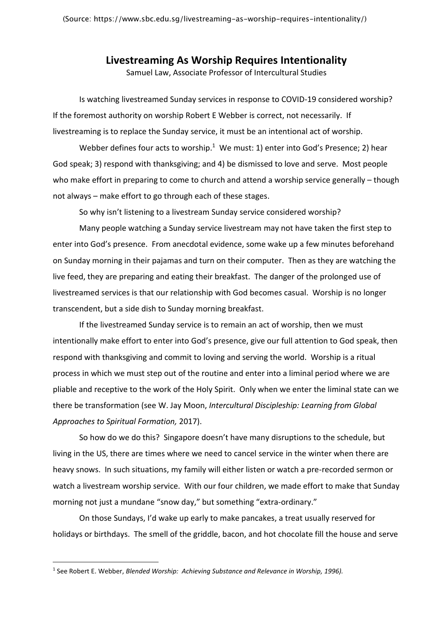## **Livestreaming As Worship Requires Intentionality**

Samuel Law, Associate Professor of Intercultural Studies

Is watching livestreamed Sunday services in response to COVID-19 considered worship? If the foremost authority on worship Robert E Webber is correct, not necessarily. If livestreaming is to replace the Sunday service, it must be an intentional act of worship.

Webber defines four acts to worship. $1$  We must: 1) enter into God's Presence; 2) hear God speak; 3) respond with thanksgiving; and 4) be dismissed to love and serve. Most people who make effort in preparing to come to church and attend a worship service generally – though not always – make effort to go through each of these stages.

So why isn't listening to a livestream Sunday service considered worship?

Many people watching a Sunday service livestream may not have taken the first step to enter into God's presence. From anecdotal evidence, some wake up a few minutes beforehand on Sunday morning in their pajamas and turn on their computer. Then as they are watching the live feed, they are preparing and eating their breakfast. The danger of the prolonged use of livestreamed services is that our relationship with God becomes casual. Worship is no longer transcendent, but a side dish to Sunday morning breakfast.

If the livestreamed Sunday service is to remain an act of worship, then we must intentionally make effort to enter into God's presence, give our full attention to God speak, then respond with thanksgiving and commit to loving and serving the world. Worship is a ritual process in which we must step out of the routine and enter into a liminal period where we are pliable and receptive to the work of the Holy Spirit. Only when we enter the liminal state can we there be transformation (see W. Jay Moon, *Intercultural Discipleship: Learning from Global Approaches to Spiritual Formation,* 2017).

So how do we do this? Singapore doesn't have many disruptions to the schedule, but living in the US, there are times where we need to cancel service in the winter when there are heavy snows. In such situations, my family will either listen or watch a pre-recorded sermon or watch a livestream worship service. With our four children, we made effort to make that Sunday morning not just a mundane "snow day," but something "extra-ordinary."

On those Sundays, I'd wake up early to make pancakes, a treat usually reserved for holidays or birthdays. The smell of the griddle, bacon, and hot chocolate fill the house and serve

<sup>1</sup> See Robert E. Webber, *Blended Worship: Achieving Substance and Relevance in Worship, 1996).*